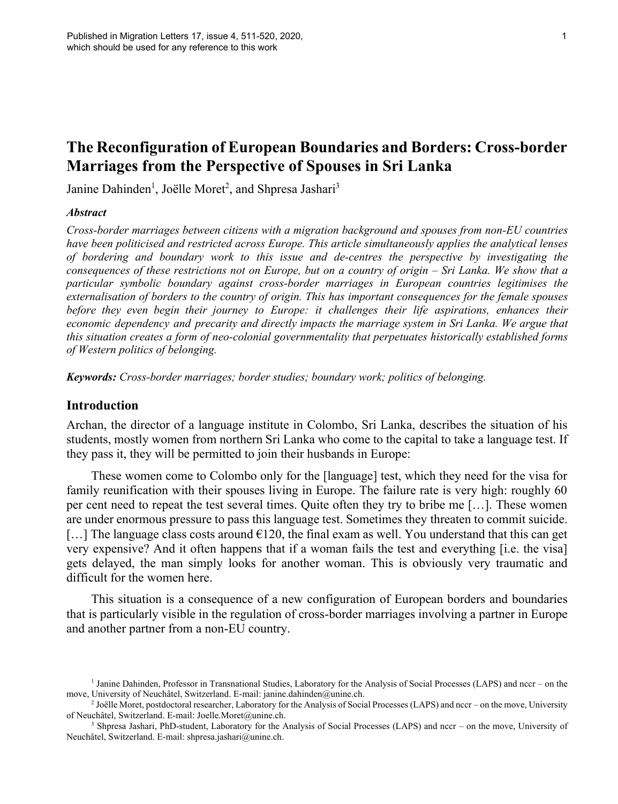# **The Reconfiguration of European Boundaries and Borders: Cross-border Marriages from the Perspective of Spouses in Sri Lanka**

Janine Dahinden<sup>1</sup>, Joëlle Moret<sup>2</sup>, and Shpresa Jashari<sup>3</sup>

#### *Abstract*

*Cross-border marriages between citizens with a migration background and spouses from non-EU countries have been politicised and restricted across Europe. This article simultaneously applies the analytical lenses of bordering and boundary work to this issue and de-centres the perspective by investigating the consequences of these restrictions not on Europe, but on a country of origin – Sri Lanka. We show that a particular symbolic boundary against cross-border marriages in European countries legitimises the externalisation of borders to the country of origin. This has important consequences for the female spouses before they even begin their journey to Europe: it challenges their life aspirations, enhances their economic dependency and precarity and directly impacts the marriage system in Sri Lanka. We argue that this situation creates a form of neo-colonial governmentality that perpetuates historically established forms of Western politics of belonging.* 

*Keywords: Cross-border marriages; border studies; boundary work; politics of belonging.*

## **Introduction**

Archan, the director of a language institute in Colombo, Sri Lanka, describes the situation of his students, mostly women from northern Sri Lanka who come to the capital to take a language test. If they pass it, they will be permitted to join their husbands in Europe:

These women come to Colombo only for the [language] test, which they need for the visa for family reunification with their spouses living in Europe. The failure rate is very high: roughly 60 per cent need to repeat the test several times. Quite often they try to bribe me […]. These women are under enormous pressure to pass this language test. Sometimes they threaten to commit suicide. [...] The language class costs around  $6120$ , the final exam as well. You understand that this can get very expensive? And it often happens that if a woman fails the test and everything [i.e. the visa] gets delayed, the man simply looks for another woman. This is obviously very traumatic and difficult for the women here.

This situation is a consequence of a new configuration of European borders and boundaries that is particularly visible in the regulation of cross-border marriages involving a partner in Europe and another partner from a non-EU country.

<sup>&</sup>lt;sup>1</sup> Janine Dahinden, Professor in Transnational Studies, Laboratory for the Analysis of Social Processes (LAPS) and nccr – on the move, University of Neuchâtel, Switzerland. E-mail: janine.dahinden@unine.ch.

<sup>&</sup>lt;sup>2</sup> Joëlle Moret, postdoctoral researcher, Laboratory for the Analysis of Social Processes (LAPS) and nccr – on the move, University of Neuchâtel, Switzerland. E-mail: Joelle.Moret@unine.ch.

<sup>&</sup>lt;sup>3</sup> Shpresa Jashari, PhD-student, Laboratory for the Analysis of Social Processes (LAPS) and nccr – on the move, University of Neuchâtel, Switzerland. E-mail: shpresa.jashari@unine.ch.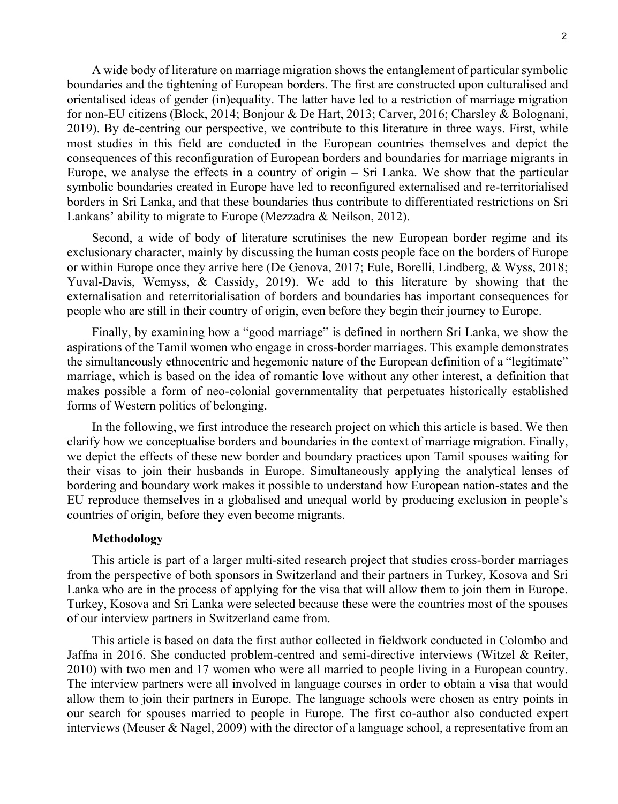A wide body of literature on marriage migration shows the entanglement of particular symbolic boundaries and the tightening of European borders. The first are constructed upon culturalised and orientalised ideas of gender (in)equality. The latter have led to a restriction of marriage migration for non-EU citizens (Block, 2014; Bonjour & De Hart, 2013; Carver, 2016; Charsley & Bolognani, 2019). By de-centring our perspective, we contribute to this literature in three ways. First, while most studies in this field are conducted in the European countries themselves and depict the consequences of this reconfiguration of European borders and boundaries for marriage migrants in Europe, we analyse the effects in a country of origin – Sri Lanka. We show that the particular symbolic boundaries created in Europe have led to reconfigured externalised and re-territorialised borders in Sri Lanka, and that these boundaries thus contribute to differentiated restrictions on Sri Lankans' ability to migrate to Europe (Mezzadra & Neilson, 2012).

Second, a wide of body of literature scrutinises the new European border regime and its exclusionary character, mainly by discussing the human costs people face on the borders of Europe or within Europe once they arrive here (De Genova, 2017; Eule, Borelli, Lindberg, & Wyss, 2018; Yuval-Davis, Wemyss, & Cassidy, 2019). We add to this literature by showing that the externalisation and reterritorialisation of borders and boundaries has important consequences for people who are still in their country of origin, even before they begin their journey to Europe.

Finally, by examining how a "good marriage" is defined in northern Sri Lanka, we show the aspirations of the Tamil women who engage in cross-border marriages. This example demonstrates the simultaneously ethnocentric and hegemonic nature of the European definition of a "legitimate" marriage, which is based on the idea of romantic love without any other interest, a definition that makes possible a form of neo-colonial governmentality that perpetuates historically established forms of Western politics of belonging.

In the following, we first introduce the research project on which this article is based. We then clarify how we conceptualise borders and boundaries in the context of marriage migration. Finally, we depict the effects of these new border and boundary practices upon Tamil spouses waiting for their visas to join their husbands in Europe. Simultaneously applying the analytical lenses of bordering and boundary work makes it possible to understand how European nation-states and the EU reproduce themselves in a globalised and unequal world by producing exclusion in people's countries of origin, before they even become migrants.

# **Methodology**

This article is part of a larger multi-sited research project that studies cross-border marriages from the perspective of both sponsors in Switzerland and their partners in Turkey, Kosova and Sri Lanka who are in the process of applying for the visa that will allow them to join them in Europe. Turkey, Kosova and Sri Lanka were selected because these were the countries most of the spouses of our interview partners in Switzerland came from.

This article is based on data the first author collected in fieldwork conducted in Colombo and Jaffna in 2016. She conducted problem-centred and semi-directive interviews (Witzel & Reiter, 2010) with two men and 17 women who were all married to people living in a European country. The interview partners were all involved in language courses in order to obtain a visa that would allow them to join their partners in Europe. The language schools were chosen as entry points in our search for spouses married to people in Europe. The first co-author also conducted expert interviews (Meuser & Nagel, 2009) with the director of a language school, a representative from an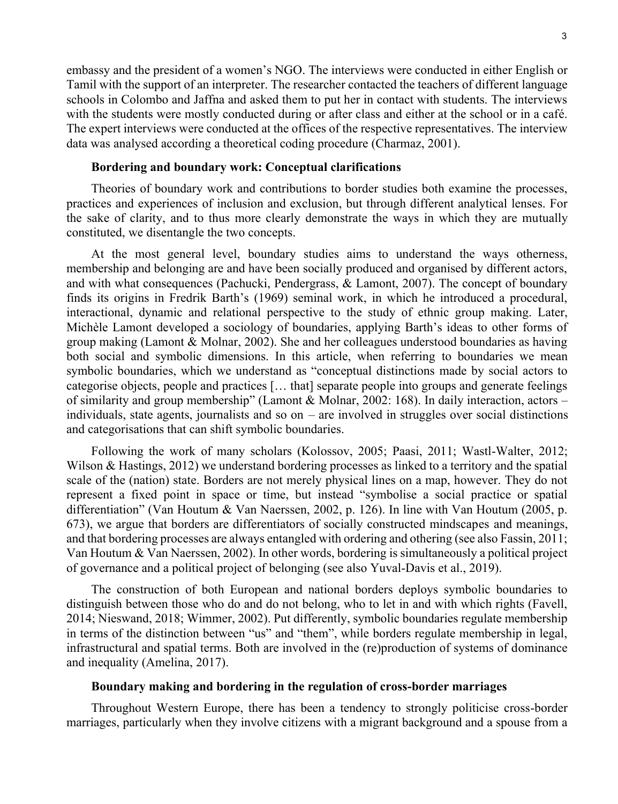embassy and the president of a women's NGO. The interviews were conducted in either English or Tamil with the support of an interpreter. The researcher contacted the teachers of different language schools in Colombo and Jaffna and asked them to put her in contact with students. The interviews with the students were mostly conducted during or after class and either at the school or in a café. The expert interviews were conducted at the offices of the respective representatives. The interview data was analysed according a theoretical coding procedure (Charmaz, 2001).

## **Bordering and boundary work: Conceptual clarifications**

Theories of boundary work and contributions to border studies both examine the processes, practices and experiences of inclusion and exclusion, but through different analytical lenses. For the sake of clarity, and to thus more clearly demonstrate the ways in which they are mutually constituted, we disentangle the two concepts.

At the most general level, boundary studies aims to understand the ways otherness, membership and belonging are and have been socially produced and organised by different actors, and with what consequences (Pachucki, Pendergrass, & Lamont, 2007). The concept of boundary finds its origins in Fredrik Barth's (1969) seminal work, in which he introduced a procedural, interactional, dynamic and relational perspective to the study of ethnic group making. Later, Michèle Lamont developed a sociology of boundaries, applying Barth's ideas to other forms of group making (Lamont & Molnar, 2002). She and her colleagues understood boundaries as having both social and symbolic dimensions. In this article, when referring to boundaries we mean symbolic boundaries, which we understand as "conceptual distinctions made by social actors to categorise objects, people and practices [… that] separate people into groups and generate feelings of similarity and group membership" (Lamont & Molnar, 2002: 168). In daily interaction, actors – individuals, state agents, journalists and so on – are involved in struggles over social distinctions and categorisations that can shift symbolic boundaries.

Following the work of many scholars (Kolossov, 2005; Paasi, 2011; Wastl-Walter, 2012; Wilson & Hastings, 2012) we understand bordering processes as linked to a territory and the spatial scale of the (nation) state. Borders are not merely physical lines on a map, however. They do not represent a fixed point in space or time, but instead "symbolise a social practice or spatial differentiation" (Van Houtum & Van Naerssen, 2002, p. 126). In line with Van Houtum (2005, p. 673), we argue that borders are differentiators of socially constructed mindscapes and meanings, and that bordering processes are always entangled with ordering and othering (see also Fassin, 2011; Van Houtum & Van Naerssen, 2002). In other words, bordering is simultaneously a political project of governance and a political project of belonging (see also Yuval-Davis et al., 2019).

The construction of both European and national borders deploys symbolic boundaries to distinguish between those who do and do not belong, who to let in and with which rights (Favell, 2014; Nieswand, 2018; Wimmer, 2002). Put differently, symbolic boundaries regulate membership in terms of the distinction between "us" and "them", while borders regulate membership in legal, infrastructural and spatial terms. Both are involved in the (re)production of systems of dominance and inequality (Amelina, 2017).

# **Boundary making and bordering in the regulation of cross-border marriages**

Throughout Western Europe, there has been a tendency to strongly politicise cross-border marriages, particularly when they involve citizens with a migrant background and a spouse from a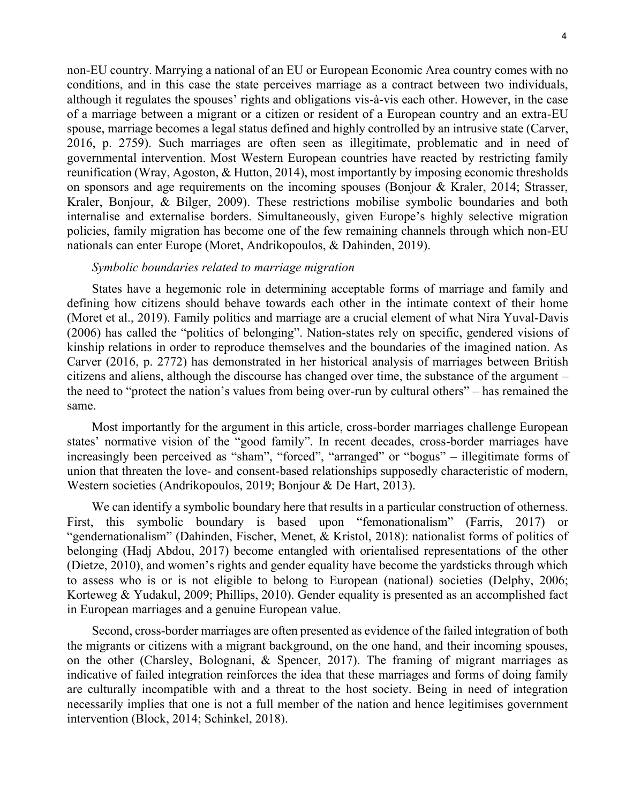non-EU country. Marrying a national of an EU or European Economic Area country comes with no conditions, and in this case the state perceives marriage as a contract between two individuals, although it regulates the spouses' rights and obligations vis-à-vis each other. However, in the case of a marriage between a migrant or a citizen or resident of a European country and an extra-EU spouse, marriage becomes a legal status defined and highly controlled by an intrusive state (Carver, 2016, p. 2759). Such marriages are often seen as illegitimate, problematic and in need of governmental intervention. Most Western European countries have reacted by restricting family reunification (Wray, Agoston, & Hutton, 2014), most importantly by imposing economic thresholds on sponsors and age requirements on the incoming spouses (Bonjour & Kraler, 2014; Strasser, Kraler, Bonjour, & Bilger, 2009). These restrictions mobilise symbolic boundaries and both internalise and externalise borders. Simultaneously, given Europe's highly selective migration policies, family migration has become one of the few remaining channels through which non-EU nationals can enter Europe (Moret, Andrikopoulos, & Dahinden, 2019).

#### *Symbolic boundaries related to marriage migration*

States have a hegemonic role in determining acceptable forms of marriage and family and defining how citizens should behave towards each other in the intimate context of their home (Moret et al., 2019). Family politics and marriage are a crucial element of what Nira Yuval-Davis (2006) has called the "politics of belonging". Nation-states rely on specific, gendered visions of kinship relations in order to reproduce themselves and the boundaries of the imagined nation. As Carver (2016, p. 2772) has demonstrated in her historical analysis of marriages between British citizens and aliens, although the discourse has changed over time, the substance of the argument – the need to "protect the nation's values from being over-run by cultural others" – has remained the same.

Most importantly for the argument in this article, cross-border marriages challenge European states' normative vision of the "good family". In recent decades, cross-border marriages have increasingly been perceived as "sham", "forced", "arranged" or "bogus" – illegitimate forms of union that threaten the love- and consent-based relationships supposedly characteristic of modern, Western societies (Andrikopoulos, 2019; Bonjour & De Hart, 2013).

We can identify a symbolic boundary here that results in a particular construction of otherness. First, this symbolic boundary is based upon "femonationalism" (Farris, 2017) or "gendernationalism" (Dahinden, Fischer, Menet, & Kristol, 2018): nationalist forms of politics of belonging (Hadj Abdou, 2017) become entangled with orientalised representations of the other (Dietze, 2010), and women's rights and gender equality have become the yardsticks through which to assess who is or is not eligible to belong to European (national) societies (Delphy, 2006; Korteweg & Yudakul, 2009; Phillips, 2010). Gender equality is presented as an accomplished fact in European marriages and a genuine European value.

Second, cross-border marriages are often presented as evidence of the failed integration of both the migrants or citizens with a migrant background, on the one hand, and their incoming spouses, on the other (Charsley, Bolognani, & Spencer, 2017). The framing of migrant marriages as indicative of failed integration reinforces the idea that these marriages and forms of doing family are culturally incompatible with and a threat to the host society. Being in need of integration necessarily implies that one is not a full member of the nation and hence legitimises government intervention (Block, 2014; Schinkel, 2018).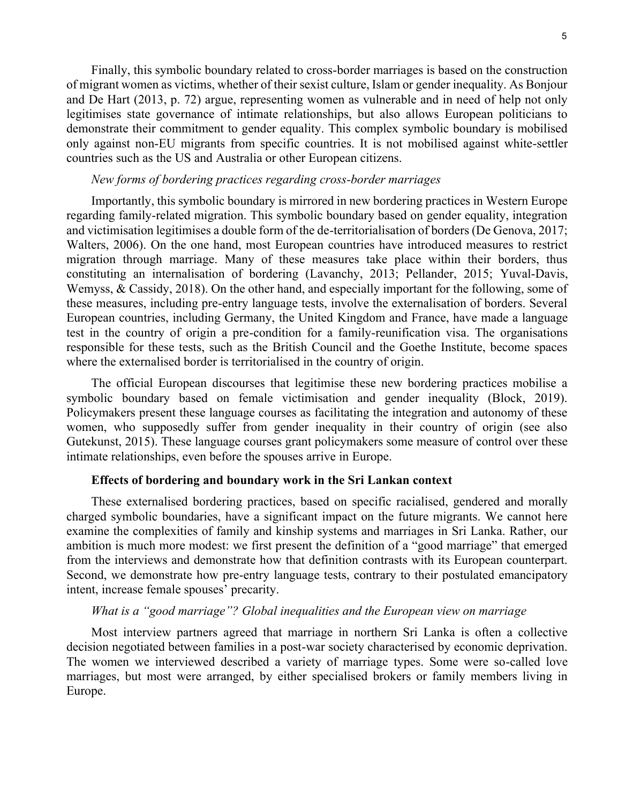Finally, this symbolic boundary related to cross-border marriages is based on the construction of migrant women as victims, whether of their sexist culture, Islam or gender inequality. As Bonjour and De Hart (2013, p. 72) argue, representing women as vulnerable and in need of help not only legitimises state governance of intimate relationships, but also allows European politicians to demonstrate their commitment to gender equality. This complex symbolic boundary is mobilised only against non-EU migrants from specific countries. It is not mobilised against white-settler countries such as the US and Australia or other European citizens.

# *New forms of bordering practices regarding cross-border marriages*

Importantly, this symbolic boundary is mirrored in new bordering practices in Western Europe regarding family-related migration. This symbolic boundary based on gender equality, integration and victimisation legitimises a double form of the de-territorialisation of borders (De Genova, 2017; Walters, 2006). On the one hand, most European countries have introduced measures to restrict migration through marriage. Many of these measures take place within their borders, thus constituting an internalisation of bordering (Lavanchy, 2013; Pellander, 2015; Yuval-Davis, Wemyss, & Cassidy, 2018). On the other hand, and especially important for the following, some of these measures, including pre-entry language tests, involve the externalisation of borders. Several European countries, including Germany, the United Kingdom and France, have made a language test in the country of origin a pre-condition for a family-reunification visa. The organisations responsible for these tests, such as the British Council and the Goethe Institute, become spaces where the externalised border is territorialised in the country of origin.

The official European discourses that legitimise these new bordering practices mobilise a symbolic boundary based on female victimisation and gender inequality (Block, 2019). Policymakers present these language courses as facilitating the integration and autonomy of these women, who supposedly suffer from gender inequality in their country of origin (see also Gutekunst, 2015). These language courses grant policymakers some measure of control over these intimate relationships, even before the spouses arrive in Europe.

#### **Effects of bordering and boundary work in the Sri Lankan context**

These externalised bordering practices, based on specific racialised, gendered and morally charged symbolic boundaries, have a significant impact on the future migrants. We cannot here examine the complexities of family and kinship systems and marriages in Sri Lanka. Rather, our ambition is much more modest: we first present the definition of a "good marriage" that emerged from the interviews and demonstrate how that definition contrasts with its European counterpart. Second, we demonstrate how pre-entry language tests, contrary to their postulated emancipatory intent, increase female spouses' precarity.

## *What is a "good marriage"? Global inequalities and the European view on marriage*

Most interview partners agreed that marriage in northern Sri Lanka is often a collective decision negotiated between families in a post-war society characterised by economic deprivation. The women we interviewed described a variety of marriage types. Some were so-called love marriages, but most were arranged, by either specialised brokers or family members living in Europe.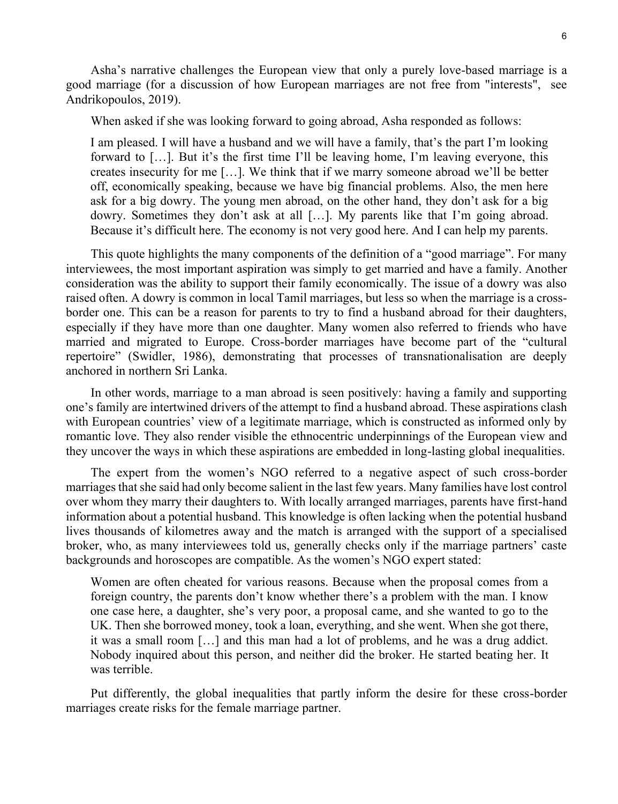Asha's narrative challenges the European view that only a purely love-based marriage is a good marriage (for a discussion of how European marriages are not free from "interests", see Andrikopoulos, 2019).

When asked if she was looking forward to going abroad, Asha responded as follows:

I am pleased. I will have a husband and we will have a family, that's the part I'm looking forward to […]. But it's the first time I'll be leaving home, I'm leaving everyone, this creates insecurity for me […]. We think that if we marry someone abroad we'll be better off, economically speaking, because we have big financial problems. Also, the men here ask for a big dowry. The young men abroad, on the other hand, they don't ask for a big dowry. Sometimes they don't ask at all […]. My parents like that I'm going abroad. Because it's difficult here. The economy is not very good here. And I can help my parents.

This quote highlights the many components of the definition of a "good marriage". For many interviewees, the most important aspiration was simply to get married and have a family. Another consideration was the ability to support their family economically. The issue of a dowry was also raised often. A dowry is common in local Tamil marriages, but less so when the marriage is a crossborder one. This can be a reason for parents to try to find a husband abroad for their daughters, especially if they have more than one daughter. Many women also referred to friends who have married and migrated to Europe. Cross-border marriages have become part of the "cultural repertoire" (Swidler, 1986), demonstrating that processes of transnationalisation are deeply anchored in northern Sri Lanka.

In other words, marriage to a man abroad is seen positively: having a family and supporting one's family are intertwined drivers of the attempt to find a husband abroad. These aspirations clash with European countries' view of a legitimate marriage, which is constructed as informed only by romantic love. They also render visible the ethnocentric underpinnings of the European view and they uncover the ways in which these aspirations are embedded in long-lasting global inequalities.

The expert from the women's NGO referred to a negative aspect of such cross-border marriages that she said had only become salient in the last few years. Many families have lost control over whom they marry their daughters to. With locally arranged marriages, parents have first-hand information about a potential husband. This knowledge is often lacking when the potential husband lives thousands of kilometres away and the match is arranged with the support of a specialised broker, who, as many interviewees told us, generally checks only if the marriage partners' caste backgrounds and horoscopes are compatible. As the women's NGO expert stated:

Women are often cheated for various reasons. Because when the proposal comes from a foreign country, the parents don't know whether there's a problem with the man. I know one case here, a daughter, she's very poor, a proposal came, and she wanted to go to the UK. Then she borrowed money, took a loan, everything, and she went. When she got there, it was a small room […] and this man had a lot of problems, and he was a drug addict. Nobody inquired about this person, and neither did the broker. He started beating her. It was terrible.

Put differently, the global inequalities that partly inform the desire for these cross-border marriages create risks for the female marriage partner.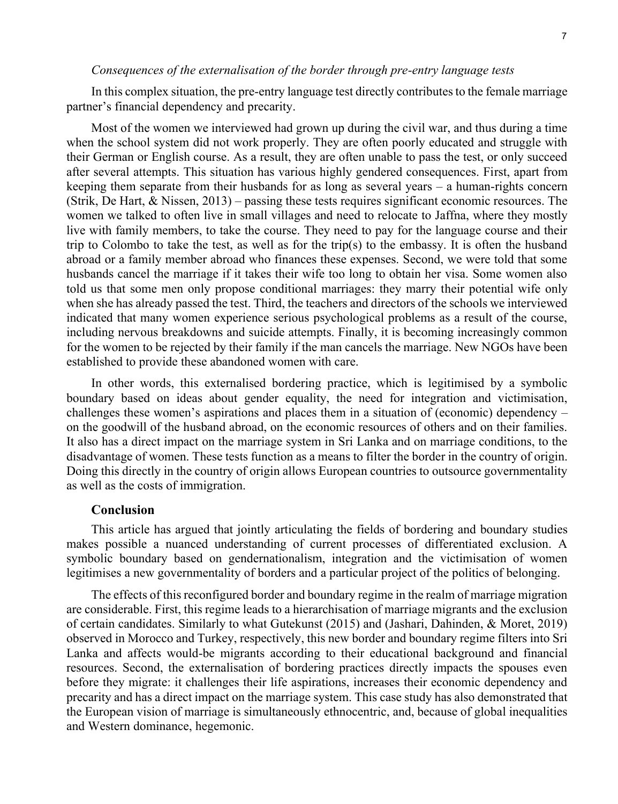## *Consequences of the externalisation of the border through pre-entry language tests*

In this complex situation, the pre-entry language test directly contributes to the female marriage partner's financial dependency and precarity.

Most of the women we interviewed had grown up during the civil war, and thus during a time when the school system did not work properly. They are often poorly educated and struggle with their German or English course. As a result, they are often unable to pass the test, or only succeed after several attempts. This situation has various highly gendered consequences. First, apart from keeping them separate from their husbands for as long as several years – a human-rights concern (Strik, De Hart, & Nissen, 2013) – passing these tests requires significant economic resources. The women we talked to often live in small villages and need to relocate to Jaffna, where they mostly live with family members, to take the course. They need to pay for the language course and their trip to Colombo to take the test, as well as for the trip(s) to the embassy. It is often the husband abroad or a family member abroad who finances these expenses. Second, we were told that some husbands cancel the marriage if it takes their wife too long to obtain her visa. Some women also told us that some men only propose conditional marriages: they marry their potential wife only when she has already passed the test. Third, the teachers and directors of the schools we interviewed indicated that many women experience serious psychological problems as a result of the course, including nervous breakdowns and suicide attempts. Finally, it is becoming increasingly common for the women to be rejected by their family if the man cancels the marriage. New NGOs have been established to provide these abandoned women with care.

In other words, this externalised bordering practice, which is legitimised by a symbolic boundary based on ideas about gender equality, the need for integration and victimisation, challenges these women's aspirations and places them in a situation of (economic) dependency – on the goodwill of the husband abroad, on the economic resources of others and on their families. It also has a direct impact on the marriage system in Sri Lanka and on marriage conditions, to the disadvantage of women. These tests function as a means to filter the border in the country of origin. Doing this directly in the country of origin allows European countries to outsource governmentality as well as the costs of immigration.

## **Conclusion**

This article has argued that jointly articulating the fields of bordering and boundary studies makes possible a nuanced understanding of current processes of differentiated exclusion. A symbolic boundary based on gendernationalism, integration and the victimisation of women legitimises a new governmentality of borders and a particular project of the politics of belonging.

The effects of this reconfigured border and boundary regime in the realm of marriage migration are considerable. First, this regime leads to a hierarchisation of marriage migrants and the exclusion of certain candidates. Similarly to what Gutekunst (2015) and (Jashari, Dahinden, & Moret, 2019) observed in Morocco and Turkey, respectively, this new border and boundary regime filters into Sri Lanka and affects would-be migrants according to their educational background and financial resources. Second, the externalisation of bordering practices directly impacts the spouses even before they migrate: it challenges their life aspirations, increases their economic dependency and precarity and has a direct impact on the marriage system. This case study has also demonstrated that the European vision of marriage is simultaneously ethnocentric, and, because of global inequalities and Western dominance, hegemonic.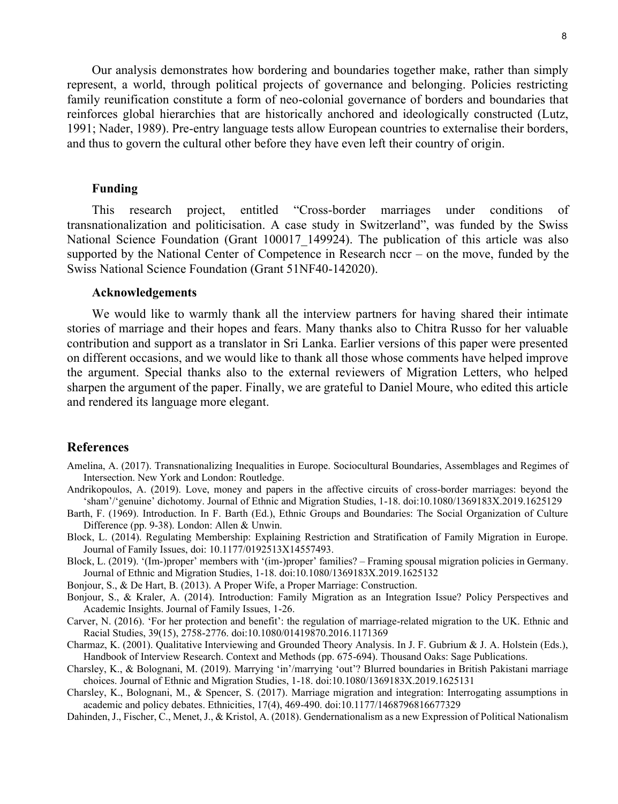Our analysis demonstrates how bordering and boundaries together make, rather than simply represent, a world, through political projects of governance and belonging. Policies restricting family reunification constitute a form of neo-colonial governance of borders and boundaries that reinforces global hierarchies that are historically anchored and ideologically constructed (Lutz, 1991; Nader, 1989). Pre-entry language tests allow European countries to externalise their borders, and thus to govern the cultural other before they have even left their country of origin.

# **Funding**

This research project, entitled "Cross-border marriages under conditions of transnationalization and politicisation. A case study in Switzerland", was funded by the Swiss National Science Foundation (Grant 100017\_149924). The publication of this article was also supported by the National Center of Competence in Research nccr – on the move, funded by the Swiss National Science Foundation (Grant 51NF40-142020).

#### **Acknowledgements**

We would like to warmly thank all the interview partners for having shared their intimate stories of marriage and their hopes and fears. Many thanks also to Chitra Russo for her valuable contribution and support as a translator in Sri Lanka. Earlier versions of this paper were presented on different occasions, and we would like to thank all those whose comments have helped improve the argument. Special thanks also to the external reviewers of Migration Letters, who helped sharpen the argument of the paper. Finally, we are grateful to Daniel Moure, who edited this article and rendered its language more elegant.

#### **References**

- Amelina, A. (2017). Transnationalizing Inequalities in Europe. Sociocultural Boundaries, Assemblages and Regimes of Intersection. New York and London: Routledge.
- Andrikopoulos, A. (2019). Love, money and papers in the affective circuits of cross-border marriages: beyond the 'sham'/'genuine' dichotomy. Journal of Ethnic and Migration Studies, 1-18. doi:10.1080/1369183X.2019.1625129
- Barth, F. (1969). Introduction. In F. Barth (Ed.), Ethnic Groups and Boundaries: The Social Organization of Culture Difference (pp. 9-38). London: Allen & Unwin.
- Block, L. (2014). Regulating Membership: Explaining Restriction and Stratification of Family Migration in Europe. Journal of Family Issues, doi: 10.1177/0192513X14557493.
- Block, L. (2019). '(Im-)proper' members with '(im-)proper' families? Framing spousal migration policies in Germany. Journal of Ethnic and Migration Studies, 1-18. doi:10.1080/1369183X.2019.1625132

Bonjour, S., & De Hart, B. (2013). A Proper Wife, a Proper Marriage: Construction.

- Bonjour, S., & Kraler, A. (2014). Introduction: Family Migration as an Integration Issue? Policy Perspectives and Academic Insights. Journal of Family Issues, 1-26.
- Carver, N. (2016). 'For her protection and benefit': the regulation of marriage-related migration to the UK. Ethnic and Racial Studies, 39(15), 2758-2776. doi:10.1080/01419870.2016.1171369
- Charmaz, K. (2001). Qualitative Interviewing and Grounded Theory Analysis. In J. F. Gubrium & J. A. Holstein (Eds.), Handbook of Interview Research. Context and Methods (pp. 675-694). Thousand Oaks: Sage Publications.
- Charsley, K., & Bolognani, M. (2019). Marrying 'in'/marrying 'out'? Blurred boundaries in British Pakistani marriage choices. Journal of Ethnic and Migration Studies, 1-18. doi:10.1080/1369183X.2019.1625131
- Charsley, K., Bolognani, M., & Spencer, S. (2017). Marriage migration and integration: Interrogating assumptions in academic and policy debates. Ethnicities, 17(4), 469-490. doi:10.1177/1468796816677329

Dahinden, J., Fischer, C., Menet, J., & Kristol, A. (2018). Gendernationalism as a new Expression of Political Nationalism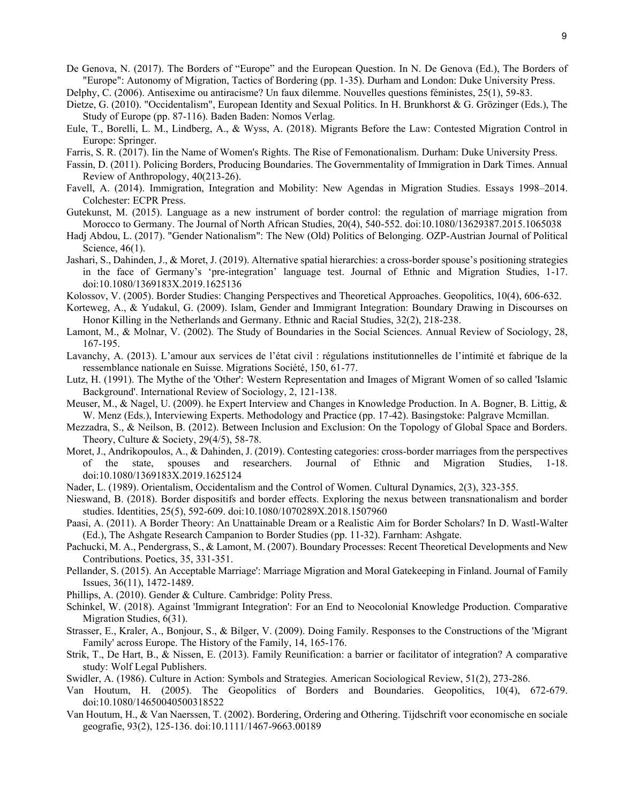De Genova, N. (2017). The Borders of "Europe" and the European Question. In N. De Genova (Ed.), The Borders of "Europe": Autonomy of Migration, Tactics of Bordering (pp. 1-35). Durham and London: Duke University Press.

Delphy, C. (2006). Antisexime ou antiracisme? Un faux dilemme. Nouvelles questions féministes, 25(1), 59-83.

- Dietze, G. (2010). "Occidentalism", European Identity and Sexual Politics. In H. Brunkhorst & G. Grözinger (Eds.), The Study of Europe (pp. 87-116). Baden Baden: Nomos Verlag.
- Eule, T., Borelli, L. M., Lindberg, A., & Wyss, A. (2018). Migrants Before the Law: Contested Migration Control in Europe: Springer.
- Farris, S. R. (2017). Iin the Name of Women's Rights. The Rise of Femonationalism. Durham: Duke University Press.
- Fassin, D. (2011). Policing Borders, Producing Boundaries. The Governmentality of Immigration in Dark Times. Annual Review of Anthropology, 40(213-26).
- Favell, A. (2014). Immigration, Integration and Mobility: New Agendas in Migration Studies. Essays 1998–2014. Colchester: ECPR Press.
- Gutekunst, M. (2015). Language as a new instrument of border control: the regulation of marriage migration from Morocco to Germany. The Journal of North African Studies, 20(4), 540-552. doi:10.1080/13629387.2015.1065038
- Hadj Abdou, L. (2017). "Gender Nationalism": The New (Old) Politics of Belonging. OZP-Austrian Journal of Political Science, 46(1).
- Jashari, S., Dahinden, J., & Moret, J. (2019). Alternative spatial hierarchies: a cross-border spouse's positioning strategies in the face of Germany's 'pre-integration' language test. Journal of Ethnic and Migration Studies, 1-17. doi:10.1080/1369183X.2019.1625136
- Kolossov, V. (2005). Border Studies: Changing Perspectives and Theoretical Approaches. Geopolitics, 10(4), 606-632.
- Korteweg, A., & Yudakul, G. (2009). Islam, Gender and Immigrant Integration: Boundary Drawing in Discourses on Honor Killing in the Netherlands and Germany. Ethnic and Racial Studies, 32(2), 218-238.
- Lamont, M., & Molnar, V. (2002). The Study of Boundaries in the Social Sciences. Annual Review of Sociology, 28, 167-195.
- Lavanchy, A. (2013). L'amour aux services de l'état civil : régulations institutionnelles de l'intimité et fabrique de la ressemblance nationale en Suisse. Migrations Société, 150, 61-77.
- Lutz, H. (1991). The Mythe of the 'Other': Western Representation and Images of Migrant Women of so called 'Islamic Background'. International Review of Sociology, 2, 121-138.
- Meuser, M., & Nagel, U. (2009). he Expert Interview and Changes in Knowledge Production. In A. Bogner, B. Littig, & W. Menz (Eds.), Interviewing Experts. Methodology and Practice (pp. 17-42). Basingstoke: Palgrave Mcmillan.
- Mezzadra, S., & Neilson, B. (2012). Between Inclusion and Exclusion: On the Topology of Global Space and Borders. Theory, Culture & Society, 29(4/5), 58-78.
- Moret, J., Andrikopoulos, A., & Dahinden, J. (2019). Contesting categories: cross-border marriages from the perspectives of the state, spouses and researchers. Journal of Ethnic and Migration Studies, 1-18. doi:10.1080/1369183X.2019.1625124
- Nader, L. (1989). Orientalism, Occidentalism and the Control of Women. Cultural Dynamics, 2(3), 323-355.
- Nieswand, B. (2018). Border dispositifs and border effects. Exploring the nexus between transnationalism and border studies. Identities, 25(5), 592-609. doi:10.1080/1070289X.2018.1507960
- Paasi, A. (2011). A Border Theory: An Unattainable Dream or a Realistic Aim for Border Scholars? In D. Wastl-Walter (Ed.), The Ashgate Research Campanion to Border Studies (pp. 11-32). Farnham: Ashgate.
- Pachucki, M. A., Pendergrass, S., & Lamont, M. (2007). Boundary Processes: Recent Theoretical Developments and New Contributions. Poetics, 35, 331-351.
- Pellander, S. (2015). An Acceptable Marriage': Marriage Migration and Moral Gatekeeping in Finland. Journal of Family Issues, 36(11), 1472-1489.
- Phillips, A. (2010). Gender & Culture. Cambridge: Polity Press.
- Schinkel, W. (2018). Against 'Immigrant Integration': For an End to Neocolonial Knowledge Production. Comparative Migration Studies, 6(31).
- Strasser, E., Kraler, A., Bonjour, S., & Bilger, V. (2009). Doing Family. Responses to the Constructions of the 'Migrant Family' across Europe. The History of the Family, 14, 165-176.
- Strik, T., De Hart, B., & Nissen, E. (2013). Family Reunification: a barrier or facilitator of integration? A comparative study: Wolf Legal Publishers.
- Swidler, A. (1986). Culture in Action: Symbols and Strategies. American Sociological Review, 51(2), 273-286.
- Van Houtum, H. (2005). The Geopolitics of Borders and Boundaries. Geopolitics, 10(4), 672-679. doi:10.1080/14650040500318522
- Van Houtum, H., & Van Naerssen, T. (2002). Bordering, Ordering and Othering. Tijdschrift voor economische en sociale geografie, 93(2), 125-136. doi:10.1111/1467-9663.00189